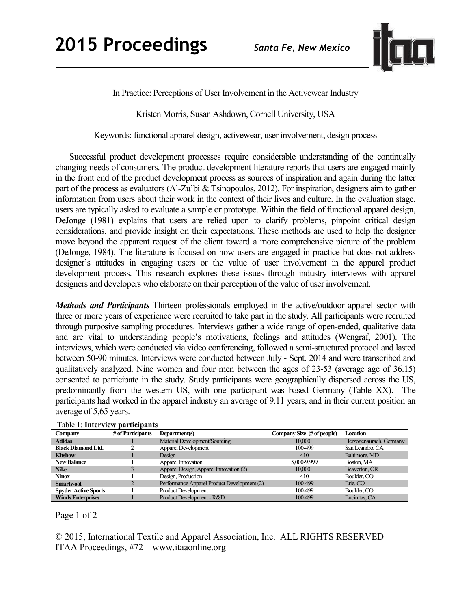

In Practice: Perceptions of User Involvement in the Activewear Industry

Kristen Morris, Susan Ashdown, Cornell University, USA

Keywords: functional apparel design, activewear, user involvement, design process

Successful product development processes require considerable understanding of the continually changing needs of consumers. The product development literature reports that users are engaged mainly in the front end of the product development process as sources of inspiration and again during the latter part of the process as evaluators (Al-Zu'bi & Tsinopoulos, 2012). For inspiration, designers aim to gather information from users about their work in the context of their lives and culture. In the evaluation stage, users are typically asked to evaluate a sample or prototype. Within the field of functional apparel design, DeJonge (1981) explains that users are relied upon to clarify problems, pinpoint critical design considerations, and provide insight on their expectations. These methods are used to help the designer move beyond the apparent request of the client toward a more comprehensive picture of the problem (DeJonge, 1984). The literature is focused on how users are engaged in practice but does not address designer's attitudes in engaging users or the value of user involvement in the apparel product development process. This research explores these issues through industry interviews with apparel designers and developers who elaborate on their perception of the value of user involvement.

*Methods and Participants* Thirteen professionals employed in the active/outdoor apparel sector with three or more years of experience were recruited to take part in the study. All participants were recruited through purposive sampling procedures. Interviews gather a wide range of open-ended, qualitative data and are vital to understanding people's motivations, feelings and attitudes (Wengraf, 2001). The interviews, which were conducted via video conferencing, followed a semi-structured protocol and lasted between 50-90 minutes. Interviews were conducted between July - Sept. 2014 and were transcribed and qualitatively analyzed. Nine women and four men between the ages of 23-53 (average age of 36.15) consented to participate in the study. Study participants were geographically dispersed across the US, predominantly from the western US, with one participant was based Germany (Table XX). The participants had worked in the apparel industry an average of 9.11 years, and in their current position an average of 5,65 years.

| Taon I. Hint view participants |                   |                                             |                            |                         |
|--------------------------------|-------------------|---------------------------------------------|----------------------------|-------------------------|
| Company                        | # of Participants | Department(s)                               | Company Size (# of people) | Location                |
| <b>Adidas</b>                  |                   | Material Development/Sourcing               | $10,000+$                  | Herzogenaurach, Germany |
| <b>Black Diamond Ltd.</b>      |                   | <b>Apparel Development</b>                  | 100-499                    | San Leandro, CA         |
| <b>Kitsbow</b>                 |                   | Design                                      | <10                        | Baltimore, MD           |
| <b>New Balance</b>             |                   | Apparel Innovation                          | 5,000-9,999                | Boston, MA              |
| <b>Nike</b>                    |                   | Apparel Design, Apparel Innovation (2)      | $10,000+$                  | Beaverton, OR           |
| <b>Ninox</b>                   |                   | Design, Production                          | <10                        | Boulder, CO             |
| <b>Smartwool</b>               |                   | Performance Apparel Product Development (2) | 100-499                    | Erie, CO                |
| <b>Spyder Active Sports</b>    |                   | Product Development                         | 100-499                    | Boulder, CO             |
| <b>Winds Enterprises</b>       |                   | Product Development - R&D                   | 100-499                    | Encinitas, CA           |

Table 1: **Interview participants**

## Page 1 of 2

© 2015, International Textile and Apparel Association, Inc. ALL RIGHTS RESERVED ITAA Proceedings, #72 – www.itaaonline.org